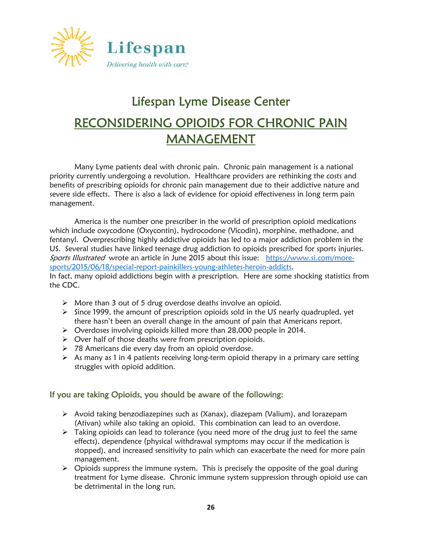

# Lifespan Lyme Disease Center RECONSIDERING OPIOIDS FOR CHRONIC PAIN MANAGEMENT

Many Lyme patients deal with chronic pain. Chronic pain management is a national priority currently undergoing a revolution. Healthcare providers are rethinking the costs and benefits of prescribing opioids for chronic pain management due to their addictive nature and severe side effects. There is also a lack of evidence for opioid effectiveness in long term pain management.

 America is the number one prescriber in the world of prescription opioid medications which include oxycodone (Oxycontin), hydrocodone (Vicodin), morphine, methadone, and fentanyl. Overprescribing highly addictive opioids has led to a major addiction problem in the US. Several studies have linked teenage drug addiction to opioids prescribed for sports injuries. Sports Illustrated wrote an article in June 2015 about this issue: https://www.si.com/moresports/2015/06/18/special-report-painkillers-young-athletes-heroin-addicts.

In fact, many opioid addictions begin with a prescription. Here are some shocking statistics from the CDC.

- More than 3 out of 5 drug overdose deaths involve an opioid.
- $\triangleright$  Since 1999, the amount of prescription opioids sold in the US nearly quadrupled, yet there hasn't been an overall change in the amount of pain that Americans report.
- Overdoses involving opioids killed more than 28,000 people in 2014.
- $\triangleright$  Over half of those deaths were from prescription opioids.
- 78 Americans die every day from an opioid overdose.
- $\triangleright$  As many as 1 in 4 patients receiving long-term opioid therapy in a primary care setting struggles with opioid addition.

### If you are taking Opioids, you should be aware of the following:

- Avoid taking benzodiazepines such as (Xanax), diazepam (Valium), and lorazepam (Ativan) while also taking an opioid. This combination can lead to an overdose.
- $\triangleright$  Taking opioids can lead to tolerance (you need more of the drug just to feel the same effects), dependence (physical withdrawal symptoms may occur if the medication is stopped), and increased sensitivity to pain which can exacerbate the need for more pain management.
- $\triangleright$  Opioids suppress the immune system. This is precisely the opposite of the goal during treatment for Lyme disease. Chronic immune system suppression through opioid use can be detrimental in the long run.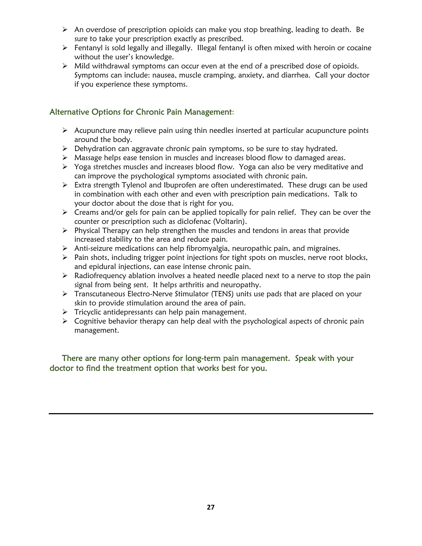- $\triangleright$  An overdose of prescription opioids can make you stop breathing, leading to death. Be sure to take your prescription exactly as prescribed.
- $\triangleright$  Fentanyl is sold legally and illegally. Illegal fentanyl is often mixed with heroin or cocaine without the user's knowledge.
- Mild withdrawal symptoms can occur even at the end of a prescribed dose of opioids. Symptoms can include: nausea, muscle cramping, anxiety, and diarrhea. Call your doctor if you experience these symptoms.

## Alternative Options for Chronic Pain Management:

- $\triangleright$  Acupuncture may relieve pain using thin needles inserted at particular acupuncture points around the body.
- $\triangleright$  Dehydration can aggravate chronic pain symptoms, so be sure to stay hydrated.
- Massage helps ease tension in muscles and increases blood flow to damaged areas.
- Yoga stretches muscles and increases blood flow. Yoga can also be very meditative and can improve the psychological symptoms associated with chronic pain.
- Extra strength Tylenol and Ibuprofen are often underestimated. These drugs can be used in combination with each other and even with prescription pain medications. Talk to your doctor about the dose that is right for you.
- $\triangleright$  Creams and/or gels for pain can be applied topically for pain relief. They can be over the counter or prescription such as diclofenac (Voltarin).
- $\triangleright$  Physical Therapy can help strengthen the muscles and tendons in areas that provide increased stability to the area and reduce pain.
- $\triangleright$  Anti-seizure medications can help fibromyalgia, neuropathic pain, and migraines.
- $\triangleright$  Pain shots, including trigger point injections for tight spots on muscles, nerve root blocks, and epidural injections, can ease intense chronic pain.
- $\triangleright$  Radiofrequency ablation involves a heated needle placed next to a nerve to stop the pain signal from being sent. It helps arthritis and neuropathy.
- Transcutaneous Electro-Nerve Stimulator (TENS) units use pads that are placed on your skin to provide stimulation around the area of pain.
- $\triangleright$  Tricyclic antidepressants can help pain management.
- $\triangleright$  Cognitive behavior therapy can help deal with the psychological aspects of chronic pain management.

### There are many other options for long-term pain management. Speak with your doctor to find the treatment option that works best for you.